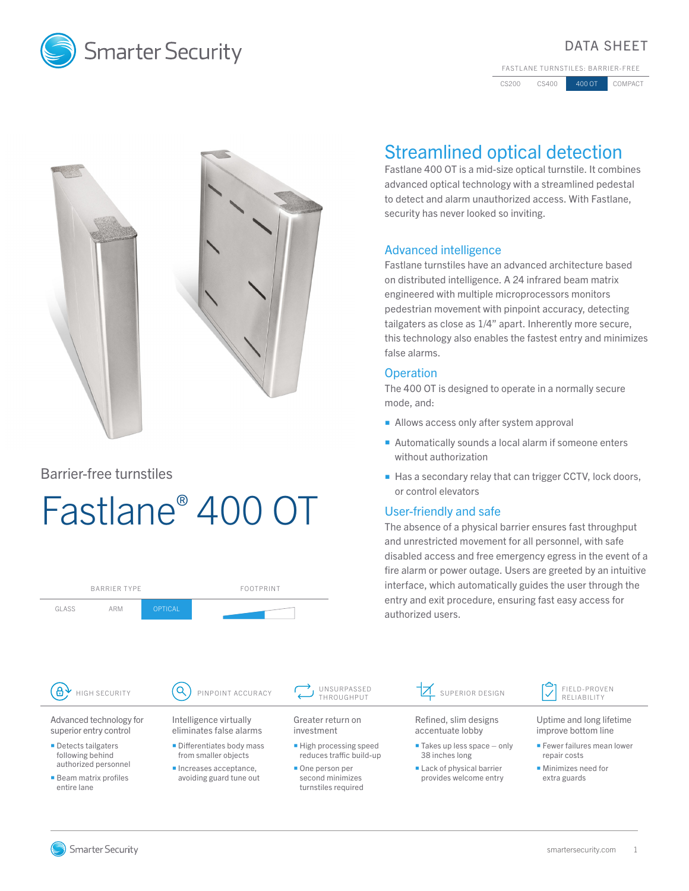

## DATA SHEET

FASTLANE TURNSTILES: BARRIER-FREE

CS200 CS400 400 OT COMPACT



## Barrier-free turnstiles

# Fastlane® 400 OT



## Streamlined optical detection

Fastlane 400 OT is a mid-size optical turnstile. It combines advanced optical technology with a streamlined pedestal to detect and alarm unauthorized access. With Fastlane, security has never looked so inviting.

## Advanced intelligence

Fastlane turnstiles have an advanced architecture based on distributed intelligence. A 24 infrared beam matrix engineered with multiple microprocessors monitors pedestrian movement with pinpoint accuracy, detecting tailgaters as close as 1/4" apart. Inherently more secure, this technology also enables the fastest entry and minimizes false alarms.

## **Operation**

The 400 OT is designed to operate in a normally secure mode, and:

- Allows access only after system approval
- Automatically sounds a local alarm if someone enters without authorization
- Has a secondary relay that can trigger CCTV, lock doors, or control elevators

## User-friendly and safe

Refined, slim designs accentuate lobby  $\blacksquare$  Takes up less space  $-$  only 38 inches long **Lack of physical barrier** provides welcome entry

The absence of a physical barrier ensures fast throughput and unrestricted movement for all personnel, with safe disabled access and free emergency egress in the event of a fire alarm or power outage. Users are greeted by an intuitive interface, which automatically guides the user through the entry and exit procedure, ensuring fast easy access for authorized users.

SUPERIOR DESIGN  $\begin{bmatrix} \bullet \\ \bullet \end{bmatrix}$  FIELD-PROVEN



- improve bottom line
- **Fewer failures mean lower** repair costs
- **Minimizes need for** extra guards

**Smarter Security**